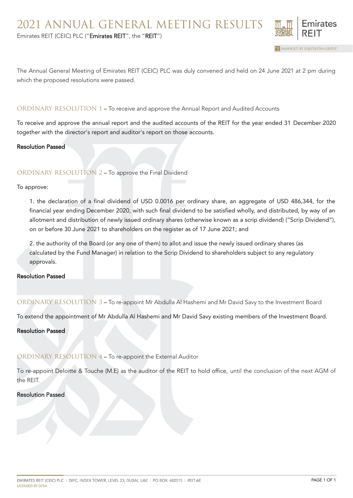

The Annual General Meeting of Emirates REIT (CEIC) PLC was duly convened and held on 24 June 2021 at 2 pm during which the proposed resolutions were passed.

### ORDINARY RESOLUTION 1 – To receive and approve the Annual Report and Audited Accounts

To receive and approve the annual report and the audited accounts of the REIT for the year ended 31 December 2020 together with the director's report and auditor's report on those accounts.

### Resolution Passed

### ORDINARY RESOLUTION 2 – To approve the Final Dividend

To approve:

1. the declaration of a final dividend of USD 0.0016 per ordinary share, an aggregate of USD 486,344, for the financial year ending December 2020, with such final dividend to be satisfied wholly, and distributed, by way of an allotment and distribution of newly issued ordinary shares (otherwise known as a scrip dividend) ("Scrip Dividend"), on or before 30 June 2021 to shareholders on the register as of 17 June 2021; and

2. the authority of the Board (or any one of them) to allot and issue the newly issued ordinary shares (as calculated by the Fund Manager) in relation to the Scrip Dividend to shareholders subject to any regulatory approvals.

### Resolution Passed

ORDINARY RESOLUTION 3 – To re-appoint Mr Abdulla Al Hashemi and Mr David Savy to the Investment Board

To extend the appointment of Mr Abdulla Al Hashemi and Mr David Savy existing members of the Investment Board.

Resolution Passed

# ORDINARY RESOLUTION 4 – To re-appoint the External Auditor

To re-appoint Deloitte & Touche (M.E) as the auditor of the REIT to hold office, until the conclusion of the next AGM of the REIT.

#### Resolution Passed